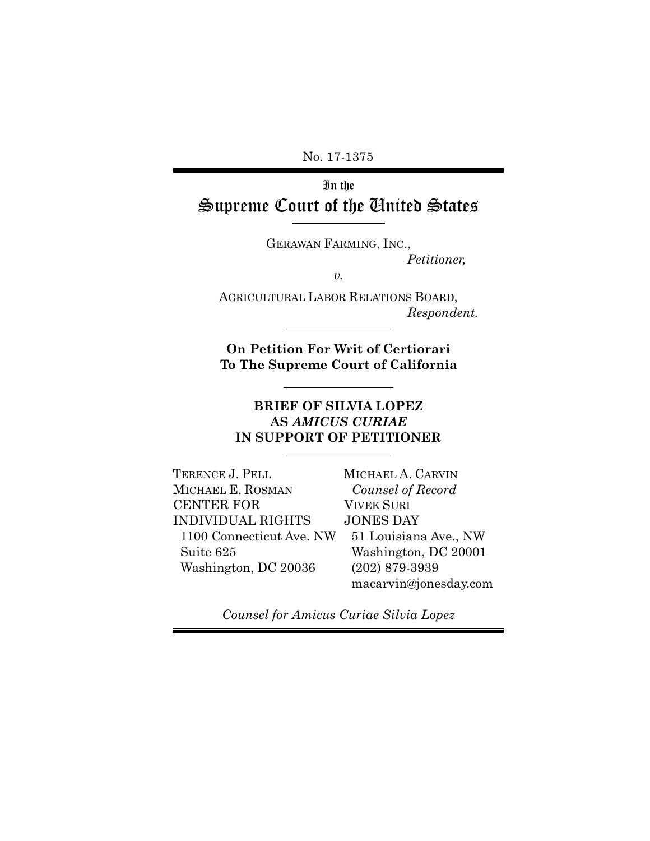No. 17-1375

In the Supreme Court of the United States

GERAWAN FARMING, INC.,

*Petitioner,* 

*v.*

AGRICULTURAL LABOR RELATIONS BOARD, *Respondent.*

**On Petition For Writ of Certiorari To The Supreme Court of California**

### **BRIEF OF SILVIA LOPEZ AS** *AMICUS CURIAE* **IN SUPPORT OF PETITIONER**

TERENCE J. PELL MICHAEL E. ROSMAN CENTER FOR INDIVIDUAL RIGHTS 1100 Connecticut Ave. NW Suite 625 Washington, DC 20036

MICHAEL A. CARVIN *Counsel of Record* VIVEK SURI JONES DAY 51 Louisiana Ave., NW Washington, DC 20001 (202) 879-3939 macarvin@jonesday.com

*Counsel for Amicus Curiae Silvia Lopez*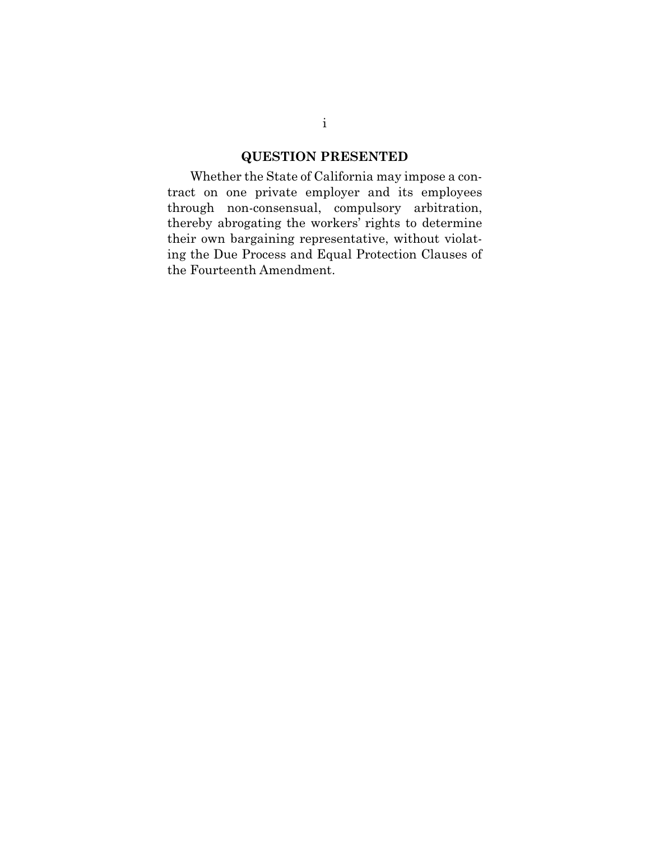### **QUESTION PRESENTED**

Whether the State of California may impose a contract on one private employer and its employees through non-consensual, compulsory arbitration, thereby abrogating the workers' rights to determine their own bargaining representative, without violating the Due Process and Equal Protection Clauses of the Fourteenth Amendment.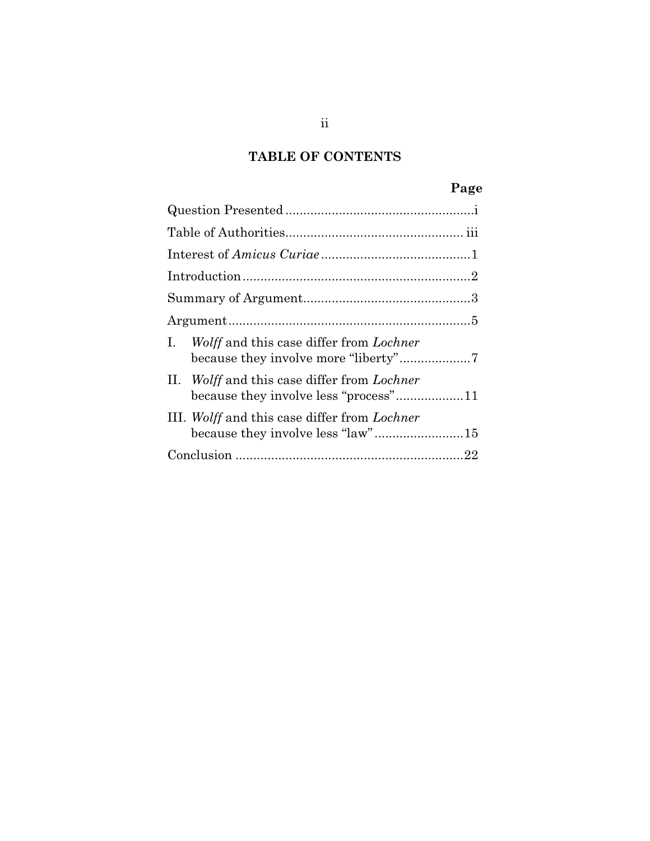## **TABLE OF CONTENTS**

# **Page**

| <i>Wolff</i> and this case differ from <i>Lochner</i><br>$\mathbf{L}$                |
|--------------------------------------------------------------------------------------|
| II. Wolff and this case differ from Lochner<br>because they involve less "process"11 |
| III. Wolff and this case differ from Lochner                                         |
|                                                                                      |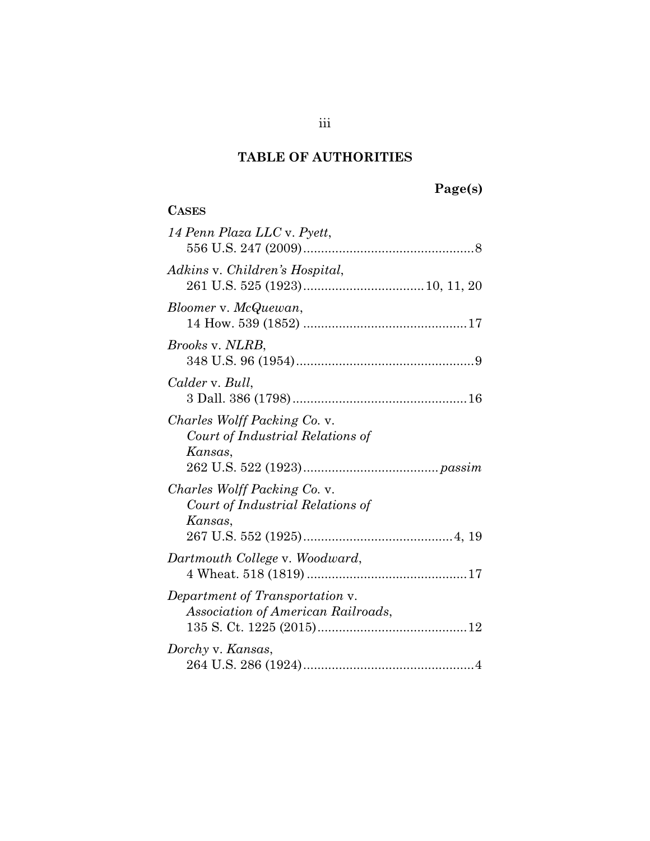# **Page(s)**

| <b>CASES</b>                                                                |
|-----------------------------------------------------------------------------|
| 14 Penn Plaza LLC v. Pyett,                                                 |
| Adkins v. Children's Hospital,                                              |
| Bloomer v. McQuewan,                                                        |
| <i>Brooks v. NLRB,</i>                                                      |
| Calder v. Bull,                                                             |
| Charles Wolff Packing Co. v.<br>Court of Industrial Relations of<br>Kansas, |
| Charles Wolff Packing Co. v.<br>Court of Industrial Relations of<br>Kansas, |
| Dartmouth College v. Woodward,                                              |
| Department of Transportation v.<br>Association of American Railroads,       |
| Dorchy v. Kansas,                                                           |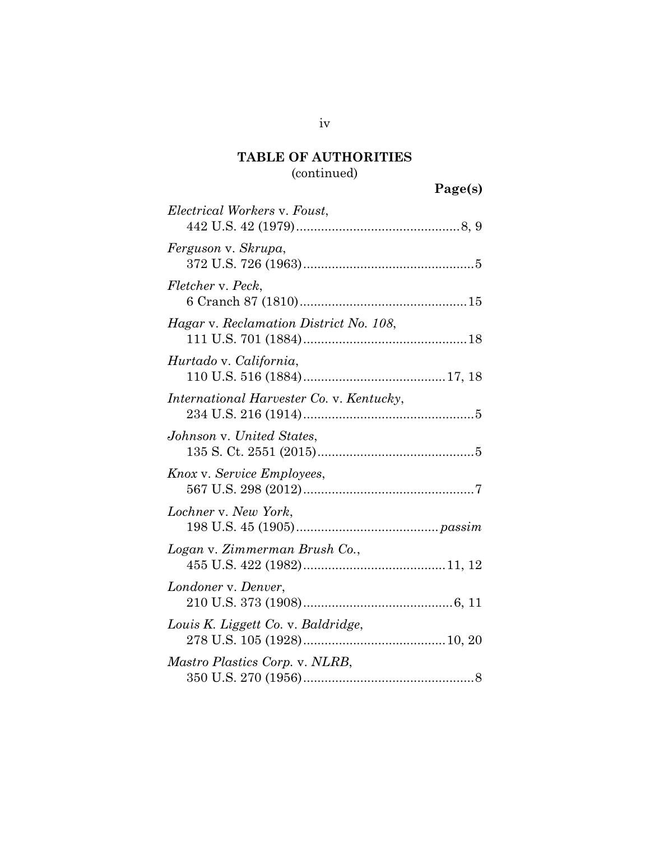## **TABLE OF AUTHORITIES** (continued)

# **Page(s)**

| Electrical Workers v. Foust,             |  |
|------------------------------------------|--|
| Ferguson v. Skrupa,                      |  |
| Fletcher v. Peck,                        |  |
| Hagar v. Reclamation District No. 108,   |  |
| Hurtado v. California,                   |  |
| International Harvester Co. v. Kentucky, |  |
| Johnson v. United States,                |  |
| Knox v. Service Employees,               |  |
| Lochner v. New York,                     |  |
| Logan v. Zimmerman Brush Co.,            |  |
| Londoner v. Denver,                      |  |
| Louis K. Liggett Co. v. Baldridge,       |  |
| <i>Mastro Plastics Corp. v. NLRB,</i>    |  |
|                                          |  |

iv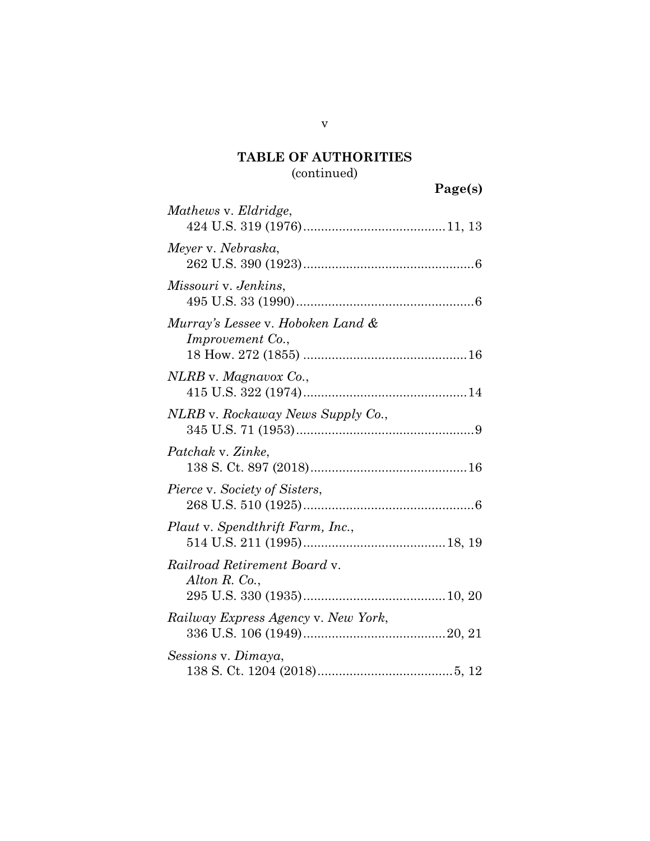## (continued)

|                                                              | Page(s) |
|--------------------------------------------------------------|---------|
| Mathews v. Eldridge,                                         |         |
| Meyer v. Nebraska,                                           |         |
| Missouri v. Jenkins,                                         |         |
| Murray's Lessee v. Hoboken Land &<br><i>Improvement Co.,</i> |         |
| NLRB v. Magnavox Co.,                                        |         |
| NLRB v. Rockaway News Supply Co.,                            |         |
| Patchak v. Zinke,                                            |         |
| Pierce v. Society of Sisters,                                |         |
| Plaut v. Spendthrift Farm, Inc.,                             |         |
| Railroad Retirement Board v.<br>Alton R. Co.,                |         |
| Railway Express Agency v. New York,                          |         |
| Sessions v. Dimaya,                                          |         |

138 S. Ct. 1204 (2018).....................................[.5,](#page-12-3) [12](#page-19-2)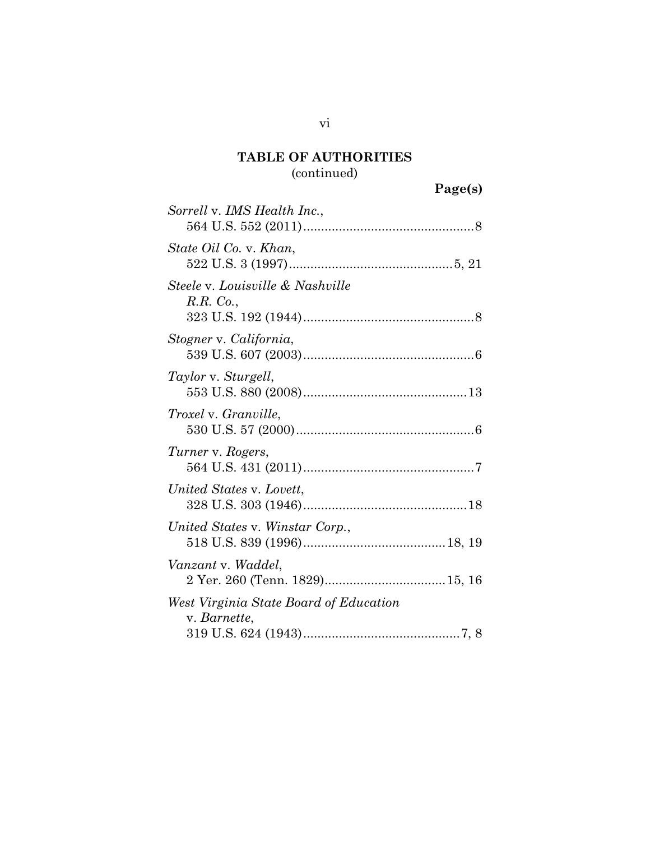## (continued)

| Sorrell v. IMS Health Inc.,                            |  |
|--------------------------------------------------------|--|
| State Oil Co. v. Khan,                                 |  |
| Steele v. Louisville & Nashville<br>R.R. Co.,          |  |
| Stogner v. California,                                 |  |
| Taylor v. Sturgell,                                    |  |
| <i>Troxel</i> v. <i>Granville</i> ,                    |  |
| Turner v. Rogers,                                      |  |
| United States v. Lovett,                               |  |
| United States v. Winstar Corp.,                        |  |
| Vanzant v. Waddel,                                     |  |
| West Virginia State Board of Education<br>v. Barnette, |  |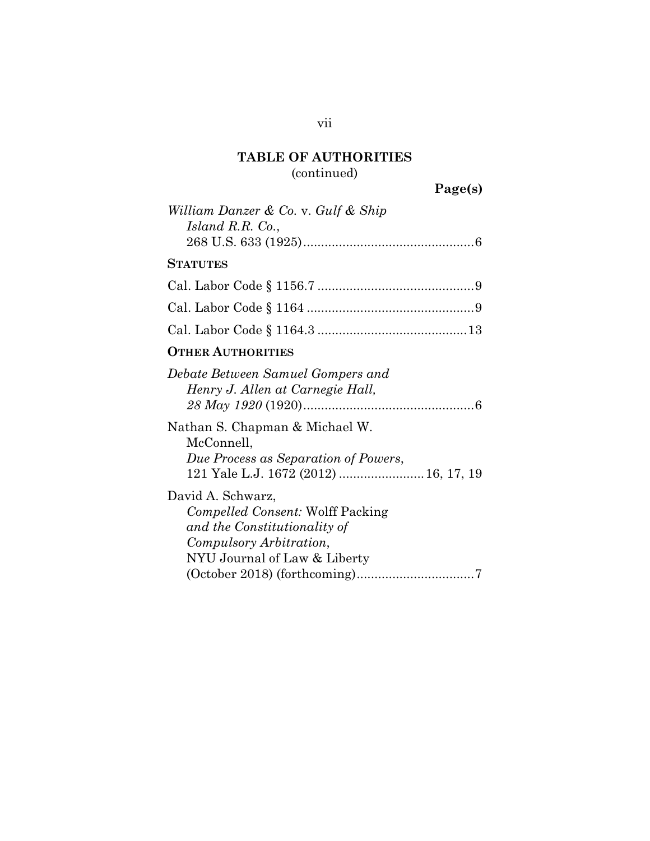## (continued)

**Page(s)**

| William Danzer & Co. v. Gulf & Ship<br>Island R.R. Co.,                                                                                                       |
|---------------------------------------------------------------------------------------------------------------------------------------------------------------|
| <b>STATUTES</b>                                                                                                                                               |
|                                                                                                                                                               |
|                                                                                                                                                               |
|                                                                                                                                                               |
| <b>OTHER AUTHORITIES</b>                                                                                                                                      |
| Debate Between Samuel Gompers and<br>Henry J. Allen at Carnegie Hall,<br>Nathan S. Chapman & Michael W.<br>McConnell,<br>Due Process as Separation of Powers, |
| 121 Yale L.J. 1672 (2012)  16, 17, 19                                                                                                                         |
| David A. Schwarz,<br><i>Compelled Consent:</i> Wolff Packing<br>and the Constitutionality of<br>Compulsory Arbitration,<br>NYU Journal of Law & Liberty       |
| $(October 2018) (for the coming)  \dots 7$                                                                                                                    |

vii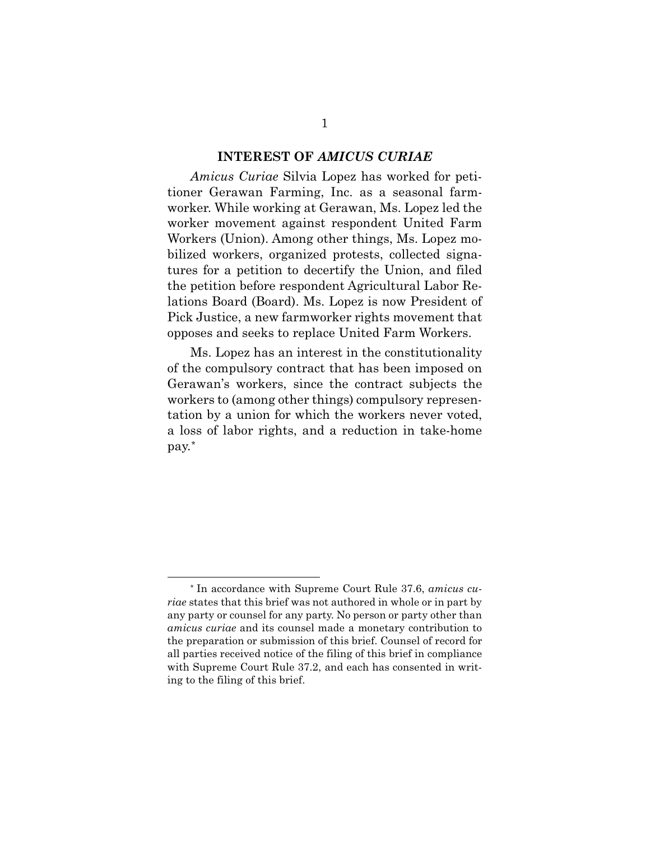### **INTEREST OF** *AMICUS CURIAE*

*Amicus Curiae* Silvia Lopez has worked for petitioner Gerawan Farming, Inc. as a seasonal farmworker. While working at Gerawan, Ms. Lopez led the worker movement against respondent United Farm Workers (Union). Among other things, Ms. Lopez mobilized workers, organized protests, collected signatures for a petition to decertify the Union, and filed the petition before respondent Agricultural Labor Relations Board (Board). Ms. Lopez is now President of Pick Justice, a new farmworker rights movement that opposes and seeks to replace United Farm Workers.

Ms. Lopez has an interest in the constitutionality of the compulsory contract that has been imposed on Gerawan's workers, since the contract subjects the workers to (among other things) compulsory representation by a union for which the workers never voted, a loss of labor rights, and a reduction in take-home pay.[\\*](#page-8-0)

<span id="page-8-0"></span> <sup>\*</sup> In accordance with Supreme Court Rule 37.6, *amicus curiae* states that this brief was not authored in whole or in part by any party or counsel for any party. No person or party other than *amicus curiae* and its counsel made a monetary contribution to the preparation or submission of this brief. Counsel of record for all parties received notice of the filing of this brief in compliance with Supreme Court Rule 37.2, and each has consented in writing to the filing of this brief.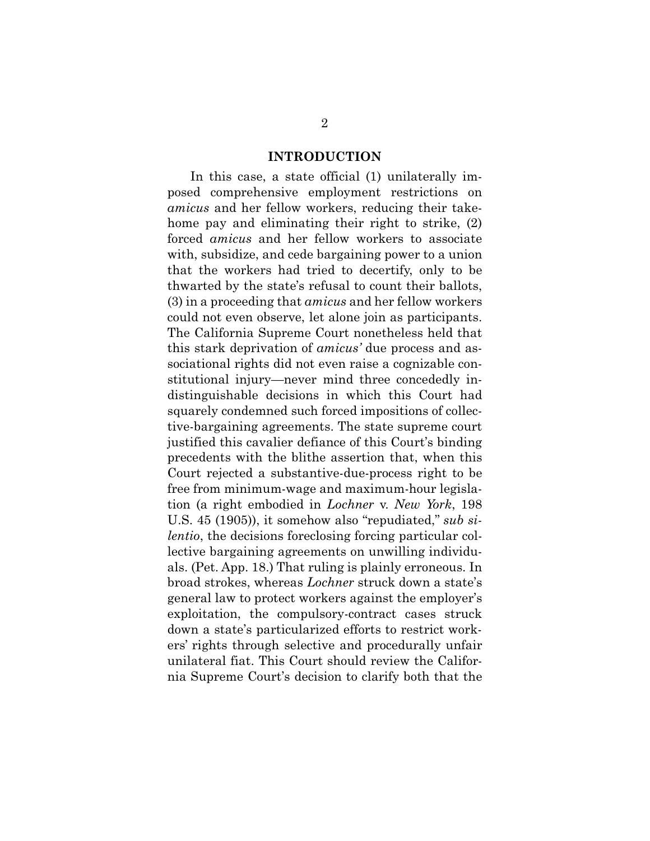### <span id="page-9-0"></span>**INTRODUCTION**

In this case, a state official (1) unilaterally imposed comprehensive employment restrictions on *amicus* and her fellow workers, reducing their takehome pay and eliminating their right to strike, (2) forced *amicus* and her fellow workers to associate with, subsidize, and cede bargaining power to a union that the workers had tried to decertify, only to be thwarted by the state's refusal to count their ballots, (3) in a proceeding that *amicus* and her fellow workers could not even observe, let alone join as participants. The California Supreme Court nonetheless held that this stark deprivation of *amicus'* due process and associational rights did not even raise a cognizable constitutional injury—never mind three concededly indistinguishable decisions in which this Court had squarely condemned such forced impositions of collective-bargaining agreements. The state supreme court justified this cavalier defiance of this Court's binding precedents with the blithe assertion that, when this Court rejected a substantive-due-process right to be free from minimum-wage and maximum-hour legislation (a right embodied in *Lochner* v. *New York*, 198 U.S. 45 (1905)), it somehow also "repudiated," *sub silentio*, the decisions foreclosing forcing particular collective bargaining agreements on unwilling individuals. (Pet. App. 18.) That ruling is plainly erroneous. In broad strokes, whereas *Lochner* struck down a state's general law to protect workers against the employer's exploitation, the compulsory-contract cases struck down a state's particularized efforts to restrict workers' rights through selective and procedurally unfair unilateral fiat. This Court should review the California Supreme Court's decision to clarify both that the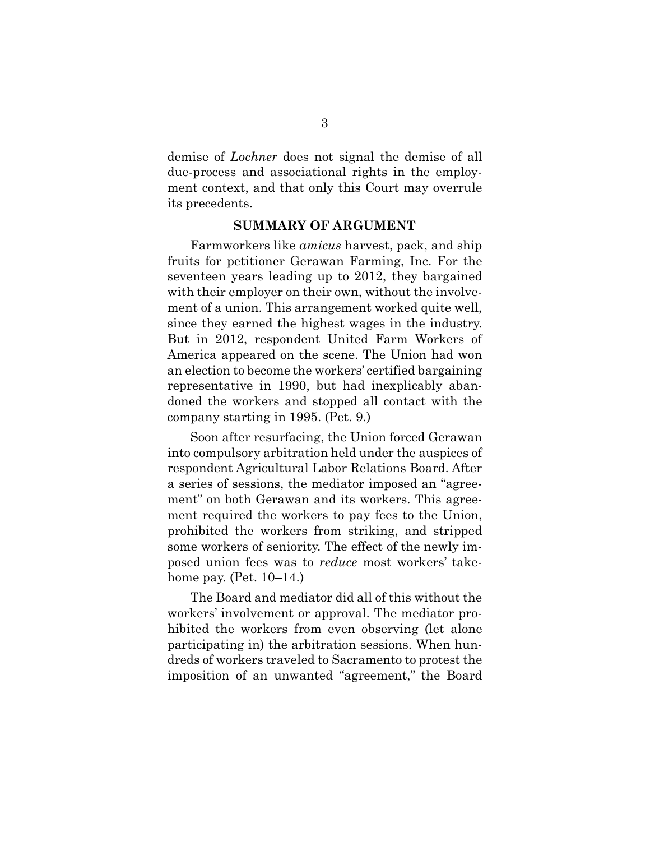demise of *Lochner* does not signal the demise of all due-process and associational rights in the employment context, and that only this Court may overrule its precedents.

### **SUMMARY OF ARGUMENT**

Farmworkers like *amicus* harvest, pack, and ship fruits for petitioner Gerawan Farming, Inc. For the seventeen years leading up to 2012, they bargained with their employer on their own, without the involvement of a union. This arrangement worked quite well, since they earned the highest wages in the industry. But in 2012, respondent United Farm Workers of America appeared on the scene. The Union had won an election to become the workers' certified bargaining representative in 1990, but had inexplicably abandoned the workers and stopped all contact with the company starting in 1995. (Pet. 9.)

Soon after resurfacing, the Union forced Gerawan into compulsory arbitration held under the auspices of respondent Agricultural Labor Relations Board. After a series of sessions, the mediator imposed an "agreement" on both Gerawan and its workers. This agreement required the workers to pay fees to the Union, prohibited the workers from striking, and stripped some workers of seniority. The effect of the newly imposed union fees was to *reduce* most workers' takehome pay. (Pet. 10–14.)

The Board and mediator did all of this without the workers' involvement or approval. The mediator prohibited the workers from even observing (let alone participating in) the arbitration sessions. When hundreds of workers traveled to Sacramento to protest the imposition of an unwanted "agreement," the Board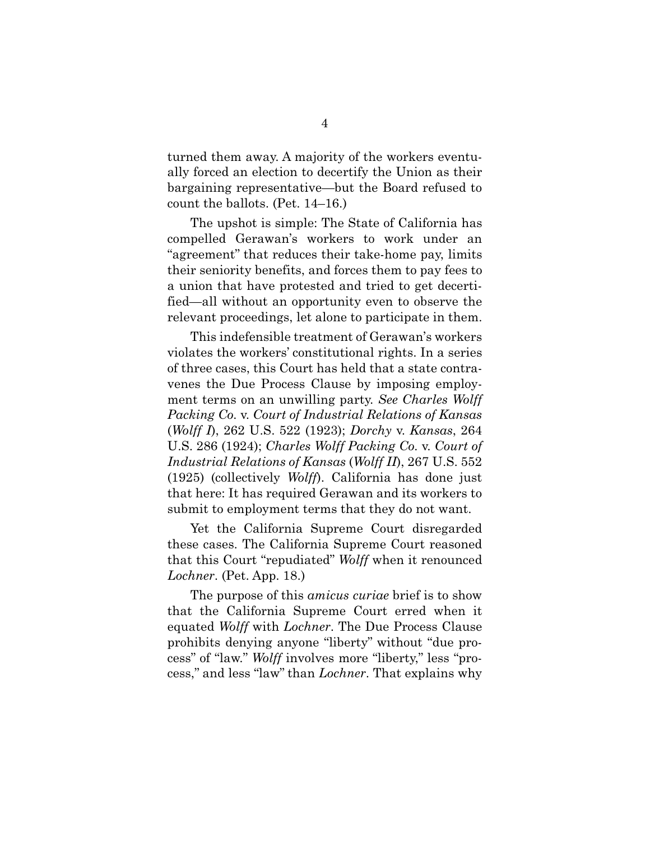turned them away. A majority of the workers eventually forced an election to decertify the Union as their bargaining representative—but the Board refused to count the ballots. (Pet. 14–16.)

The upshot is simple: The State of California has compelled Gerawan's workers to work under an "agreement" that reduces their take-home pay, limits their seniority benefits, and forces them to pay fees to a union that have protested and tried to get decertified—all without an opportunity even to observe the relevant proceedings, let alone to participate in them.

<span id="page-11-2"></span><span id="page-11-0"></span>This indefensible treatment of Gerawan's workers violates the workers' constitutional rights. In a series of three cases, this Court has held that a state contravenes the Due Process Clause by imposing employment terms on an unwilling party. *See Charles Wolff Packing Co.* v. *Court of Industrial Relations of Kansas*  (*Wolff I*), 262 U.S. 522 (1923); *Dorchy* v. *Kansas*, 264 U.S. 286 (1924); *Charles Wolff Packing Co.* v. *Court of Industrial Relations of Kansas* (*Wolff II*), 267 U.S. 552 (1925) (collectively *Wolff*). California has done just that here: It has required Gerawan and its workers to submit to employment terms that they do not want.

<span id="page-11-1"></span>Yet the California Supreme Court disregarded these cases. The California Supreme Court reasoned that this Court "repudiated" *Wolff* when it renounced *Lochner*. (Pet. App. 18.)

The purpose of this *amicus curiae* brief is to show that the California Supreme Court erred when it equated *Wolff* with *Lochner*. The Due Process Clause prohibits denying anyone "liberty" without "due process" of "law." *Wolff* involves more "liberty," less "process," and less "law" than *Lochner*. That explains why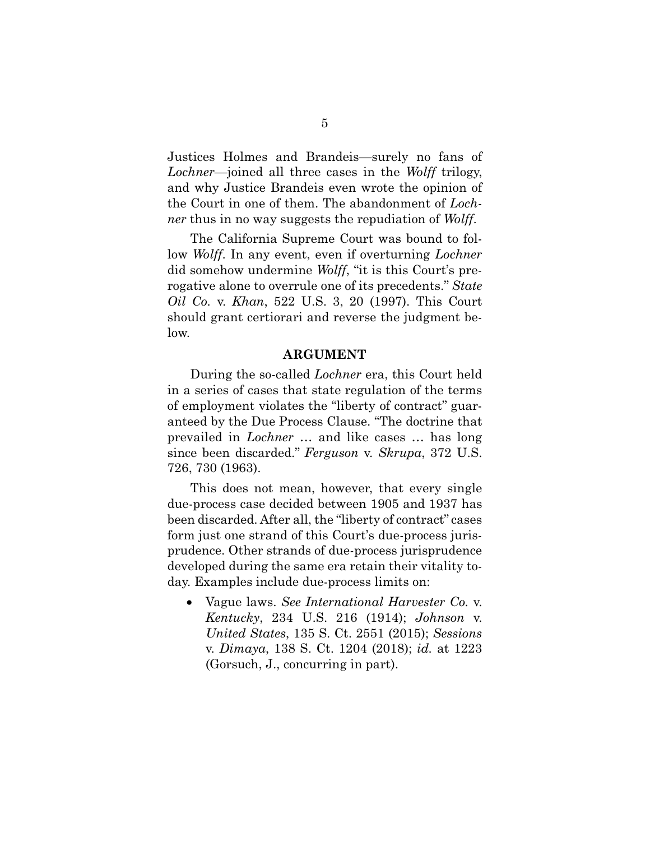Justices Holmes and Brandeis—surely no fans of *Lochner*—joined all three cases in the *Wolff* trilogy, and why Justice Brandeis even wrote the opinion of the Court in one of them. The abandonment of *Lochner* thus in no way suggests the repudiation of *Wolff*.

The California Supreme Court was bound to follow *Wolff*. In any event, even if overturning *Lochner*  did somehow undermine *Wolff*, "it is this Court's prerogative alone to overrule one of its precedents." *State Oil Co.* v. *Khan*, 522 U.S. 3, 20 (1997). This Court should grant certiorari and reverse the judgment below.

#### <span id="page-12-4"></span><span id="page-12-0"></span>**ARGUMENT**

During the so-called *Lochner* era, this Court held in a series of cases that state regulation of the terms of employment violates the "liberty of contract" guaranteed by the Due Process Clause. "The doctrine that prevailed in *Lochner* … and like cases … has long since been discarded." *Ferguson* v. *Skrupa*, 372 U.S. 726, 730 (1963).

This does not mean, however, that every single due-process case decided between 1905 and 1937 has been discarded. After all, the "liberty of contract" cases form just one strand of this Court's due-process jurisprudence. Other strands of due-process jurisprudence developed during the same era retain their vitality today. Examples include due-process limits on:

<span id="page-12-3"></span><span id="page-12-2"></span><span id="page-12-1"></span>• Vague laws. *See International Harvester Co.* v. *Kentucky*, 234 U.S. 216 (1914); *Johnson* v. *United States*, 135 S. Ct. 2551 (2015); *Sessions*  v. *Dimaya*, 138 S. Ct. 1204 (2018); *id.* at 1223 (Gorsuch, J., concurring in part).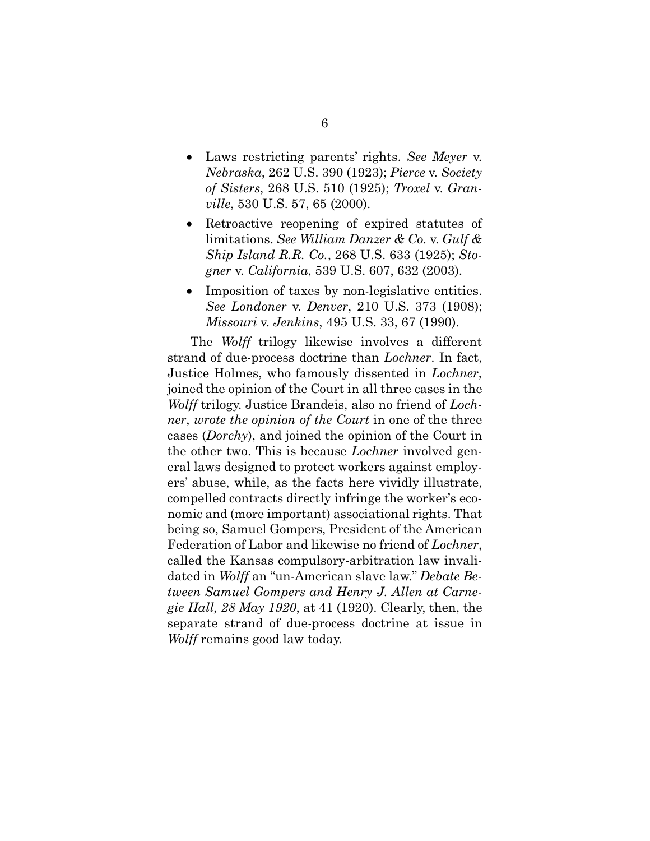- <span id="page-13-3"></span><span id="page-13-1"></span>• Laws restricting parents' rights. *See Meyer* v. *Nebraska*, 262 U.S. 390 (1923); *Pierce* v. *Society of Sisters*, 268 U.S. 510 (1925); *Troxel* v. *Granville*, 530 U.S. 57, 65 (2000).
- <span id="page-13-6"></span><span id="page-13-5"></span><span id="page-13-4"></span>• Retroactive reopening of expired statutes of limitations. *See William Danzer & Co.* v. *Gulf & Ship Island R.R. Co.*, 268 U.S. 633 (1925); *Stogner* v. *California*, 539 U.S. 607, 632 (2003).
- <span id="page-13-2"></span><span id="page-13-0"></span>• Imposition of taxes by non-legislative entities. *See Londoner* v. *Denver*, 210 U.S. 373 (1908); *Missouri* v. *Jenkins*, 495 U.S. 33, 67 (1990).

<span id="page-13-7"></span>The *Wolff* trilogy likewise involves a different strand of due-process doctrine than *Lochner*. In fact, Justice Holmes, who famously dissented in *Lochner*, joined the opinion of the Court in all three cases in the *Wolff* trilogy. Justice Brandeis, also no friend of *Lochner*, *wrote the opinion of the Court* in one of the three cases (*Dorchy*), and joined the opinion of the Court in the other two. This is because *Lochner* involved general laws designed to protect workers against employers' abuse, while, as the facts here vividly illustrate, compelled contracts directly infringe the worker's economic and (more important) associational rights. That being so, Samuel Gompers, President of the American Federation of Labor and likewise no friend of *Lochner*, called the Kansas compulsory-arbitration law invalidated in *Wolff* an "un-American slave law." *Debate Between Samuel Gompers and Henry J. Allen at Carnegie Hall, 28 May 1920*, at 41 (1920). Clearly, then, the separate strand of due-process doctrine at issue in *Wolff* remains good law today.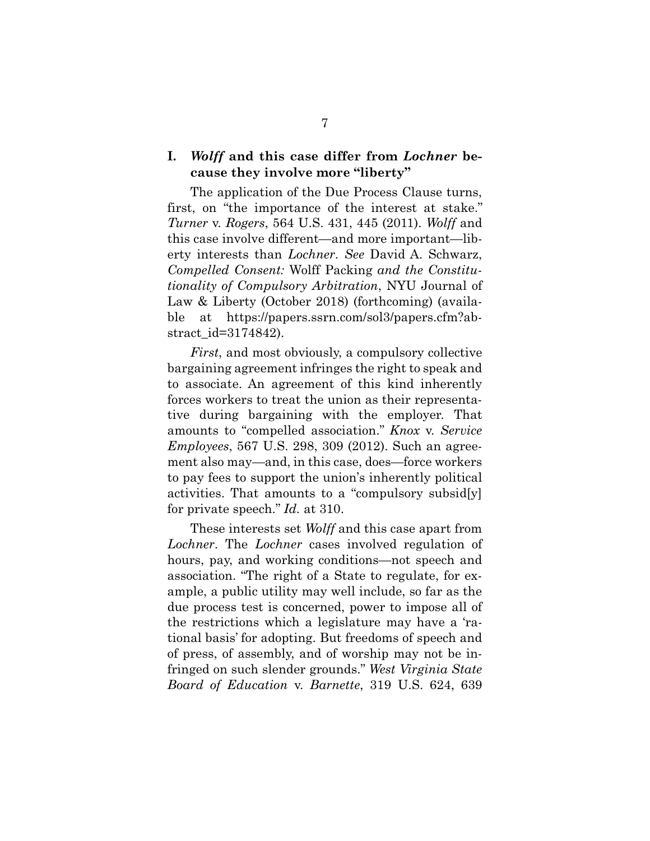### **I.** *Wolff* **and this case differ from** *Lochner* **because they involve more "liberty"**

<span id="page-14-3"></span><span id="page-14-1"></span>The application of the Due Process Clause turns, first, on "the importance of the interest at stake." *Turner* v. *Rogers*, 564 U.S. 431, 445 (2011). *Wolff* and this case involve different—and more important—liberty interests than *Lochner*. *See* David A. Schwarz, *Compelled Consent:* Wolff Packing *and the Constitutionality of Compulsory Arbitration*, NYU Journal of Law & Liberty (October 2018) (forthcoming) (available at https://papers.ssrn.com/sol3/papers.cfm?abstract\_id=3174842).

<span id="page-14-0"></span>*First*, and most obviously, a compulsory collective bargaining agreement infringes the right to speak and to associate. An agreement of this kind inherently forces workers to treat the union as their representative during bargaining with the employer. That amounts to "compelled association." *Knox* v. *Service Employees*, 567 U.S. 298, 309 (2012). Such an agreement also may—and, in this case, does—force workers to pay fees to support the union's inherently political activities. That amounts to a "compulsory subsid[y] for private speech." *Id.* at 310.

<span id="page-14-2"></span>These interests set *Wolff* and this case apart from *Lochner*. The *Lochner* cases involved regulation of hours, pay, and working conditions—not speech and association. "The right of a State to regulate, for example, a public utility may well include, so far as the due process test is concerned, power to impose all of the restrictions which a legislature may have a 'rational basis' for adopting. But freedoms of speech and of press, of assembly, and of worship may not be infringed on such slender grounds." *West Virginia State Board of Education* v. *Barnette*, 319 U.S. 624, 639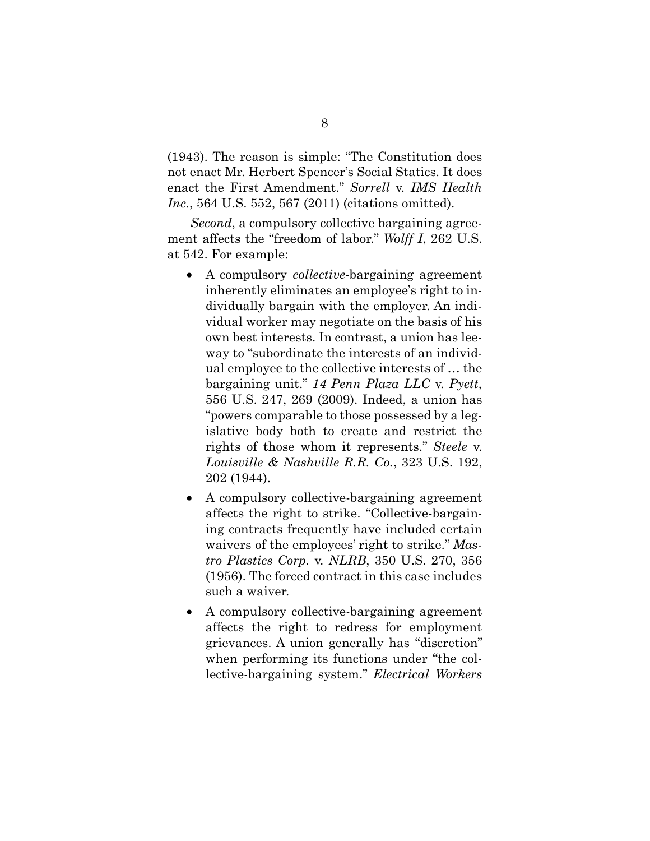(1943). The reason is simple: "The Constitution does not enact Mr. Herbert Spencer's Social Statics. It does enact the First Amendment." *Sorrell* v. *IMS Health Inc.*, 564 U.S. 552, 567 (2011) (citations omitted).

*Second*, a compulsory collective bargaining agreement affects the "freedom of labor." *Wolff I*, 262 U.S. at 542. For example:

- <span id="page-15-3"></span><span id="page-15-0"></span>• A compulsory *collective*-bargaining agreement inherently eliminates an employee's right to individually bargain with the employer. An individual worker may negotiate on the basis of his own best interests. In contrast, a union has leeway to "subordinate the interests of an individual employee to the collective interests of … the bargaining unit." *14 Penn Plaza LLC* v. *Pyett*, 556 U.S. 247, 269 (2009). Indeed, a union has "powers comparable to those possessed by a legislative body both to create and restrict the rights of those whom it represents." *Steele* v. *Louisville & Nashville R.R. Co.*, 323 U.S. 192, 202 (1944).
- <span id="page-15-4"></span><span id="page-15-2"></span>• A compulsory collective-bargaining agreement affects the right to strike. "Collective-bargaining contracts frequently have included certain waivers of the employees' right to strike." *Mastro Plastics Corp.* v. *NLRB*, 350 U.S. 270, 356 (1956). The forced contract in this case includes such a waiver.
- <span id="page-15-1"></span>• A compulsory collective-bargaining agreement affects the right to redress for employment grievances. A union generally has "discretion" when performing its functions under "the collective-bargaining system." *Electrical Workers*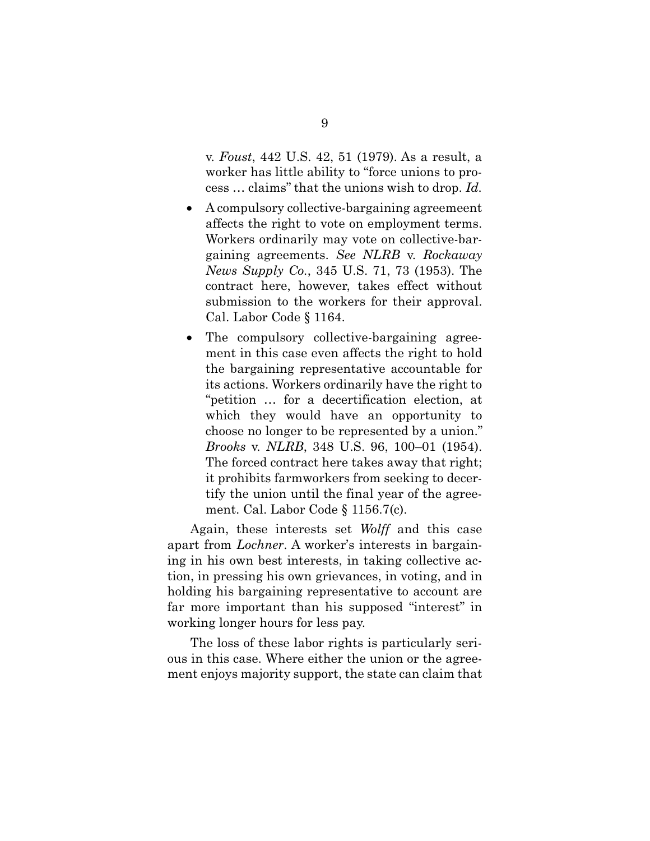<span id="page-16-2"></span><span id="page-16-1"></span>v. *Foust*, 442 U.S. 42, 51 (1979). As a result, a worker has little ability to "force unions to process … claims" that the unions wish to drop. *Id.*

- A compulsory collective-bargaining agreemeent affects the right to vote on employment terms. Workers ordinarily may vote on collective-bargaining agreements. *See NLRB* v. *Rockaway News Supply Co.*, 345 U.S. 71, 73 (1953). The contract here, however, takes effect without submission to the workers for their approval. Cal. Labor Code § 1164.
- <span id="page-16-4"></span>• The compulsory collective-bargaining agreement in this case even affects the right to hold the bargaining representative accountable for its actions. Workers ordinarily have the right to "petition … for a decertification election, at which they would have an opportunity to choose no longer to be represented by a union." *Brooks* v. *NLRB*, 348 U.S. 96, 100–01 (1954). The forced contract here takes away that right; it prohibits farmworkers from seeking to decertify the union until the final year of the agreement. Cal. Labor Code § 1156.7(c).

<span id="page-16-3"></span><span id="page-16-0"></span>Again, these interests set *Wolff* and this case apart from *Lochner*. A worker's interests in bargaining in his own best interests, in taking collective action, in pressing his own grievances, in voting, and in holding his bargaining representative to account are far more important than his supposed "interest" in working longer hours for less pay.

The loss of these labor rights is particularly serious in this case. Where either the union or the agreement enjoys majority support, the state can claim that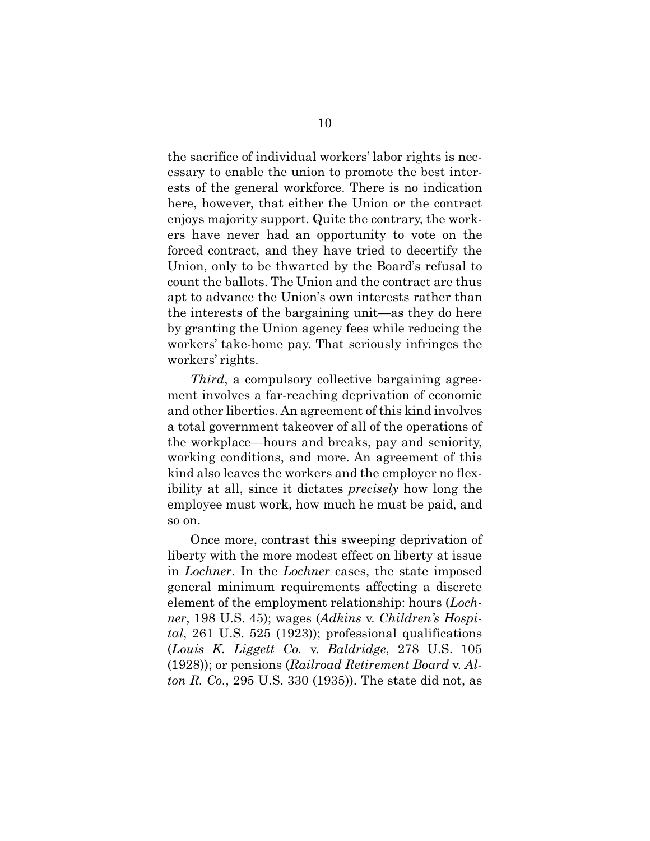the sacrifice of individual workers' labor rights is necessary to enable the union to promote the best interests of the general workforce. There is no indication here, however, that either the Union or the contract enjoys majority support. Quite the contrary, the workers have never had an opportunity to vote on the forced contract, and they have tried to decertify the Union, only to be thwarted by the Board's refusal to count the ballots. The Union and the contract are thus apt to advance the Union's own interests rather than the interests of the bargaining unit—as they do here by granting the Union agency fees while reducing the workers' take-home pay. That seriously infringes the workers' rights.

*Third*, a compulsory collective bargaining agreement involves a far-reaching deprivation of economic and other liberties. An agreement of this kind involves a total government takeover of all of the operations of the workplace—hours and breaks, pay and seniority, working conditions, and more. An agreement of this kind also leaves the workers and the employer no flexibility at all, since it dictates *precisely* how long the employee must work, how much he must be paid, and so on.

<span id="page-17-2"></span><span id="page-17-1"></span><span id="page-17-0"></span>Once more, contrast this sweeping deprivation of liberty with the more modest effect on liberty at issue in *Lochner*. In the *Lochner* cases, the state imposed general minimum requirements affecting a discrete element of the employment relationship: hours (*Lochner*, 198 U.S. 45); wages (*Adkins* v. *Children's Hospital*, 261 U.S. 525 (1923)); professional qualifications (*Louis K. Liggett Co.* v. *Baldridge*, 278 U.S. 105 (1928)); or pensions (*Railroad Retirement Board* v. *Alton R. Co.*, 295 U.S. 330 (1935)). The state did not, as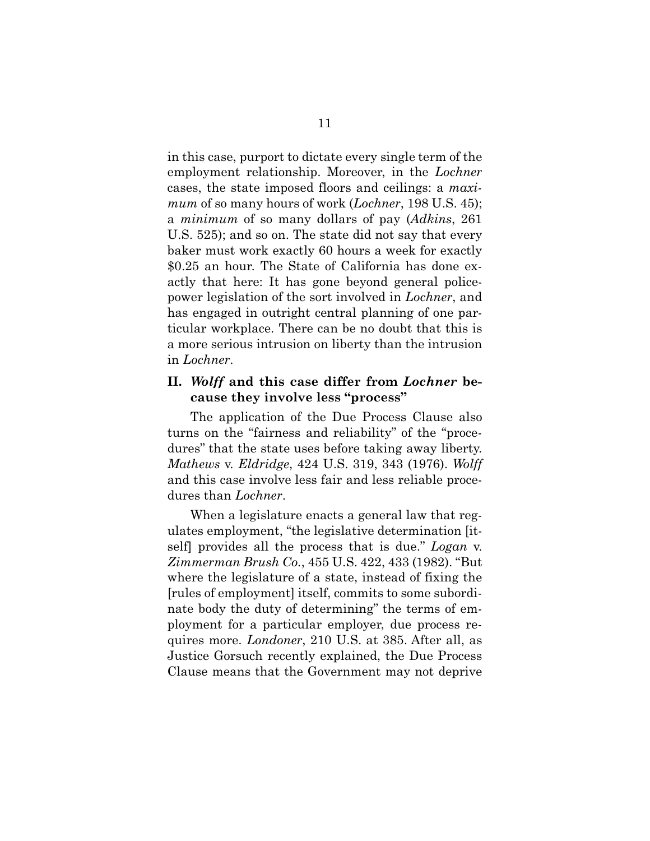<span id="page-18-0"></span>in this case, purport to dictate every single term of the employment relationship. Moreover, in the *Lochner* cases, the state imposed floors and ceilings: a *maximum* of so many hours of work (*Lochner*, 198 U.S. 45); a *minimum* of so many dollars of pay (*Adkins*, 261 U.S. 525); and so on. The state did not say that every baker must work exactly 60 hours a week for exactly \$0.25 an hour. The State of California has done exactly that here: It has gone beyond general policepower legislation of the sort involved in *Lochner*, and has engaged in outright central planning of one particular workplace. There can be no doubt that this is a more serious intrusion on liberty than the intrusion in *Lochner*.

### **II.** *Wolff* **and this case differ from** *Lochner* **because they involve less "process"**

<span id="page-18-3"></span>The application of the Due Process Clause also turns on the "fairness and reliability" of the "procedures" that the state uses before taking away liberty. *Mathews* v. *Eldridge*, 424 U.S. 319, 343 (1976). *Wolff*  and this case involve less fair and less reliable procedures than *Lochner*.

<span id="page-18-2"></span><span id="page-18-1"></span>When a legislature enacts a general law that regulates employment, "the legislative determination [itself] provides all the process that is due." *Logan* v. *Zimmerman Brush Co.*, 455 U.S. 422, 433 (1982). "But where the legislature of a state, instead of fixing the [rules of employment] itself, commits to some subordinate body the duty of determining" the terms of employment for a particular employer, due process requires more. *Londoner*, 210 U.S. at 385. After all, as Justice Gorsuch recently explained, the Due Process Clause means that the Government may not deprive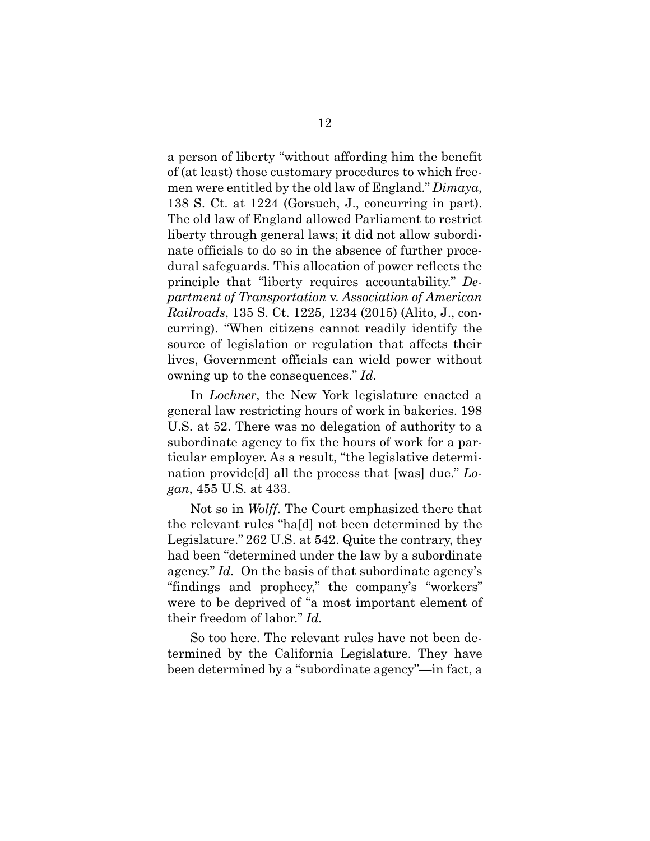<span id="page-19-2"></span>a person of liberty "without affording him the benefit of (at least) those customary procedures to which freemen were entitled by the old law of England." *Dimaya*, 138 S. Ct. at 1224 (Gorsuch, J., concurring in part). The old law of England allowed Parliament to restrict liberty through general laws; it did not allow subordinate officials to do so in the absence of further procedural safeguards. This allocation of power reflects the principle that "liberty requires accountability." *Department of Transportation* v. *Association of American Railroads*, 135 S. Ct. 1225, 1234 (2015) (Alito, J., concurring). "When citizens cannot readily identify the source of legislation or regulation that affects their lives, Government officials can wield power without owning up to the consequences." *Id.*

<span id="page-19-0"></span>In *Lochner*, the New York legislature enacted a general law restricting hours of work in bakeries. 198 U.S. at 52. There was no delegation of authority to a subordinate agency to fix the hours of work for a particular employer. As a result, "the legislative determination provide[d] all the process that [was] due." *Logan*, 455 U.S. at 433.

<span id="page-19-1"></span>Not so in *Wolff*. The Court emphasized there that the relevant rules "ha[d] not been determined by the Legislature." 262 U.S. at 542. Quite the contrary, they had been "determined under the law by a subordinate agency." *Id.* On the basis of that subordinate agency's "findings and prophecy," the company's "workers" were to be deprived of "a most important element of their freedom of labor." *Id.*

So too here. The relevant rules have not been determined by the California Legislature. They have been determined by a "subordinate agency"—in fact, a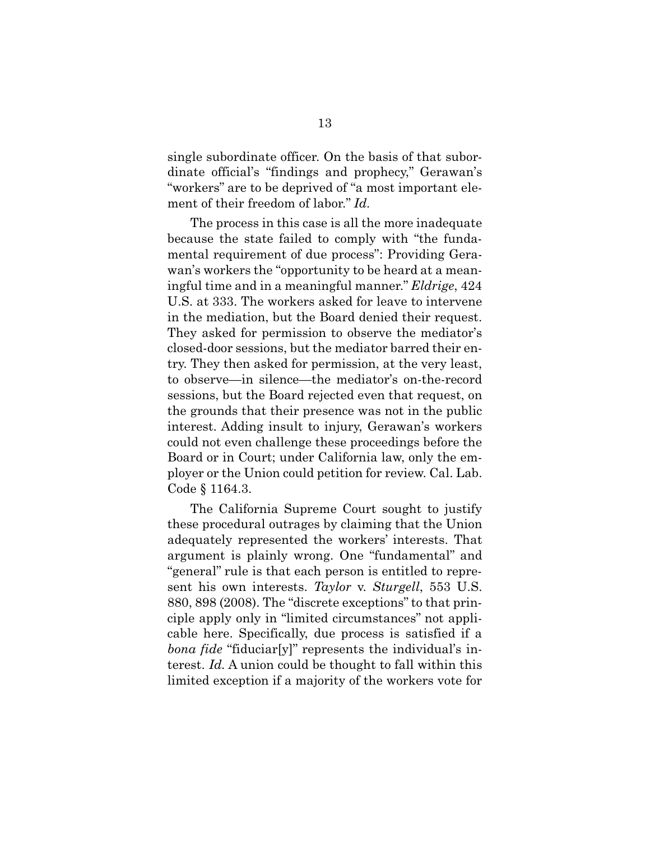single subordinate officer. On the basis of that subordinate official's "findings and prophecy," Gerawan's "workers" are to be deprived of "a most important element of their freedom of labor." *Id.*

<span id="page-20-0"></span>The process in this case is all the more inadequate because the state failed to comply with "the fundamental requirement of due process": Providing Gerawan's workers the "opportunity to be heard at a meaningful time and in a meaningful manner." *Eldrige*, 424 U.S. at 333. The workers asked for leave to intervene in the mediation, but the Board denied their request. They asked for permission to observe the mediator's closed-door sessions, but the mediator barred their entry. They then asked for permission, at the very least, to observe—in silence—the mediator's on-the-record sessions, but the Board rejected even that request, on the grounds that their presence was not in the public interest. Adding insult to injury, Gerawan's workers could not even challenge these proceedings before the Board or in Court; under California law, only the employer or the Union could petition for review. Cal. Lab. Code § 1164.3.

<span id="page-20-2"></span><span id="page-20-1"></span>The California Supreme Court sought to justify these procedural outrages by claiming that the Union adequately represented the workers' interests. That argument is plainly wrong. One "fundamental" and "general" rule is that each person is entitled to represent his own interests. *Taylor* v. *Sturgell*, 553 U.S. 880, 898 (2008). The "discrete exceptions" to that principle apply only in "limited circumstances" not applicable here. Specifically, due process is satisfied if a *bona fide* "fiduciar[y]" represents the individual's interest. *Id.* A union could be thought to fall within this limited exception if a majority of the workers vote for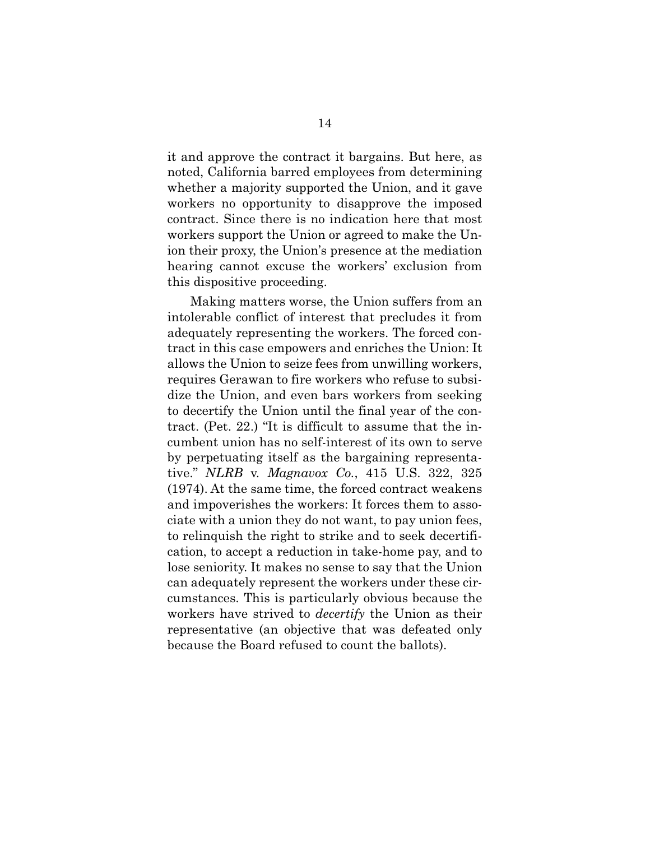it and approve the contract it bargains. But here, as noted, California barred employees from determining whether a majority supported the Union, and it gave workers no opportunity to disapprove the imposed contract. Since there is no indication here that most workers support the Union or agreed to make the Union their proxy, the Union's presence at the mediation hearing cannot excuse the workers' exclusion from this dispositive proceeding.

<span id="page-21-0"></span>Making matters worse, the Union suffers from an intolerable conflict of interest that precludes it from adequately representing the workers. The forced contract in this case empowers and enriches the Union: It allows the Union to seize fees from unwilling workers, requires Gerawan to fire workers who refuse to subsidize the Union, and even bars workers from seeking to decertify the Union until the final year of the contract. (Pet. 22.) "It is difficult to assume that the incumbent union has no self-interest of its own to serve by perpetuating itself as the bargaining representative." *NLRB* v. *Magnavox Co.*, 415 U.S. 322, 325 (1974). At the same time, the forced contract weakens and impoverishes the workers: It forces them to associate with a union they do not want, to pay union fees, to relinquish the right to strike and to seek decertification, to accept a reduction in take-home pay, and to lose seniority. It makes no sense to say that the Union can adequately represent the workers under these circumstances. This is particularly obvious because the workers have strived to *decertify* the Union as their representative (an objective that was defeated only because the Board refused to count the ballots).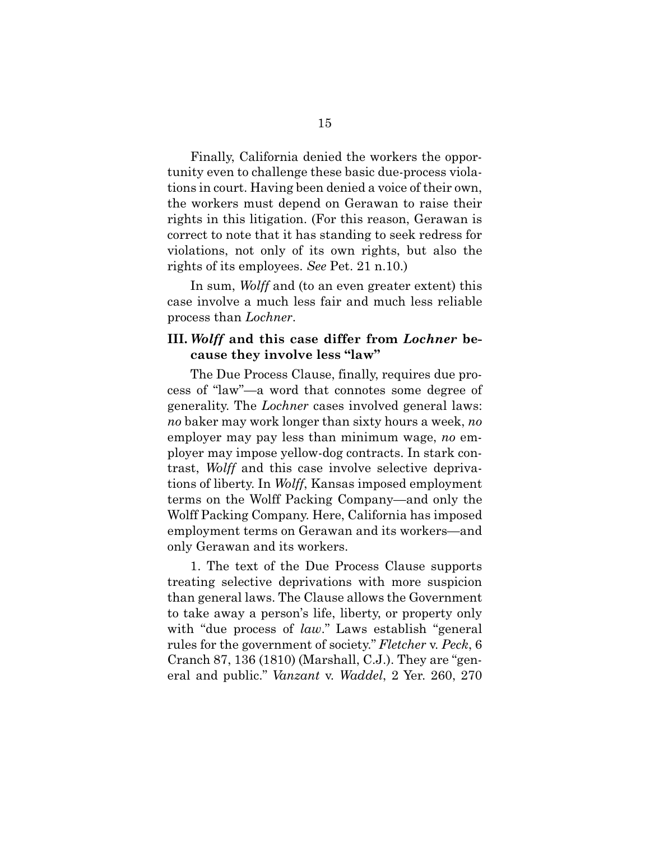Finally, California denied the workers the opportunity even to challenge these basic due-process violations in court. Having been denied a voice of their own, the workers must depend on Gerawan to raise their rights in this litigation. (For this reason, Gerawan is correct to note that it has standing to seek redress for violations, not only of its own rights, but also the rights of its employees. *See* Pet. 21 n.10.)

In sum, *Wolff* and (to an even greater extent) this case involve a much less fair and much less reliable process than *Lochner*.

### **III.** *Wolff* **and this case differ from** *Lochner* **because they involve less "law"**

The Due Process Clause, finally, requires due process of "law"—a word that connotes some degree of generality. The *Lochner* cases involved general laws: *no* baker may work longer than sixty hours a week, *no* employer may pay less than minimum wage, *no* employer may impose yellow-dog contracts. In stark contrast, *Wolff* and this case involve selective deprivations of liberty. In *Wolff*, Kansas imposed employment terms on the Wolff Packing Company—and only the Wolff Packing Company. Here, California has imposed employment terms on Gerawan and its workers—and only Gerawan and its workers.

<span id="page-22-1"></span><span id="page-22-0"></span>1. The text of the Due Process Clause supports treating selective deprivations with more suspicion than general laws. The Clause allows the Government to take away a person's life, liberty, or property only with "due process of *law*." Laws establish "general rules for the government of society." *Fletcher* v. *Peck*, 6 Cranch 87, 136 (1810) (Marshall, C.J.). They are "general and public." *Vanzant* v. *Waddel*, 2 Yer. 260, 270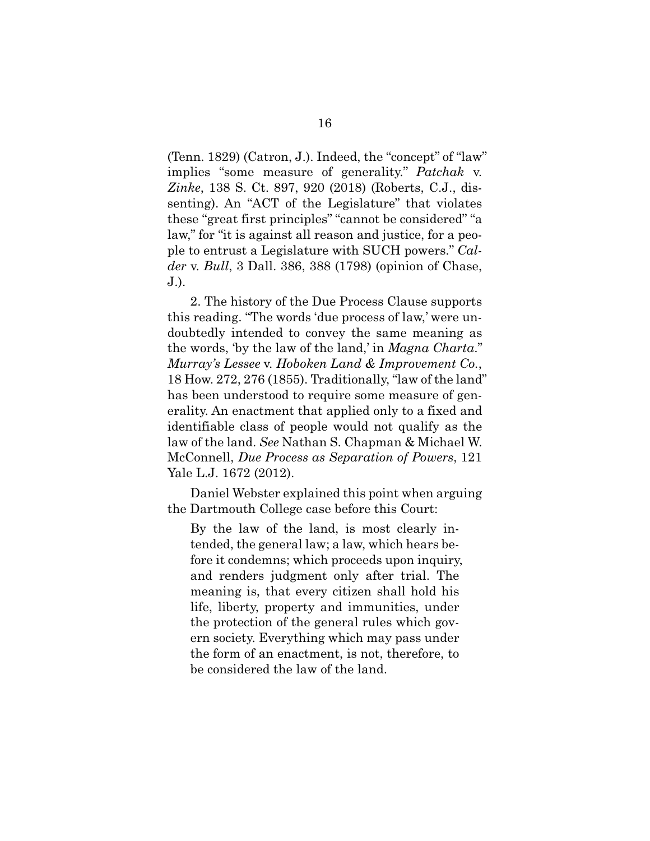<span id="page-23-2"></span>(Tenn. 1829) (Catron, J.). Indeed, the "concept" of "law" implies "some measure of generality." *Patchak* v. *Zinke*, 138 S. Ct. 897, 920 (2018) (Roberts, C.J., dissenting). An "ACT of the Legislature" that violates these "great first principles" "cannot be considered" "a law," for "it is against all reason and justice, for a people to entrust a Legislature with SUCH powers." *Calder* v. *Bull*, 3 Dall. 386, 388 (1798) (opinion of Chase, J.).

<span id="page-23-1"></span><span id="page-23-0"></span>2. The history of the Due Process Clause supports this reading. "The words 'due process of law,' were undoubtedly intended to convey the same meaning as the words, 'by the law of the land,' in *Magna Charta*." *Murray's Lessee* v. *Hoboken Land & Improvement Co.*, 18 How. 272, 276 (1855). Traditionally, "law of the land" has been understood to require some measure of generality. An enactment that applied only to a fixed and identifiable class of people would not qualify as the law of the land. *See* Nathan S. Chapman & Michael W. McConnell, *Due Process as Separation of Powers*, 121 Yale L.J. 1672 (2012).

Daniel Webster explained this point when arguing the Dartmouth College case before this Court:

<span id="page-23-3"></span>By the law of the land, is most clearly intended, the general law; a law, which hears before it condemns; which proceeds upon inquiry, and renders judgment only after trial. The meaning is, that every citizen shall hold his life, liberty, property and immunities, under the protection of the general rules which govern society. Everything which may pass under the form of an enactment, is not, therefore, to be considered the law of the land.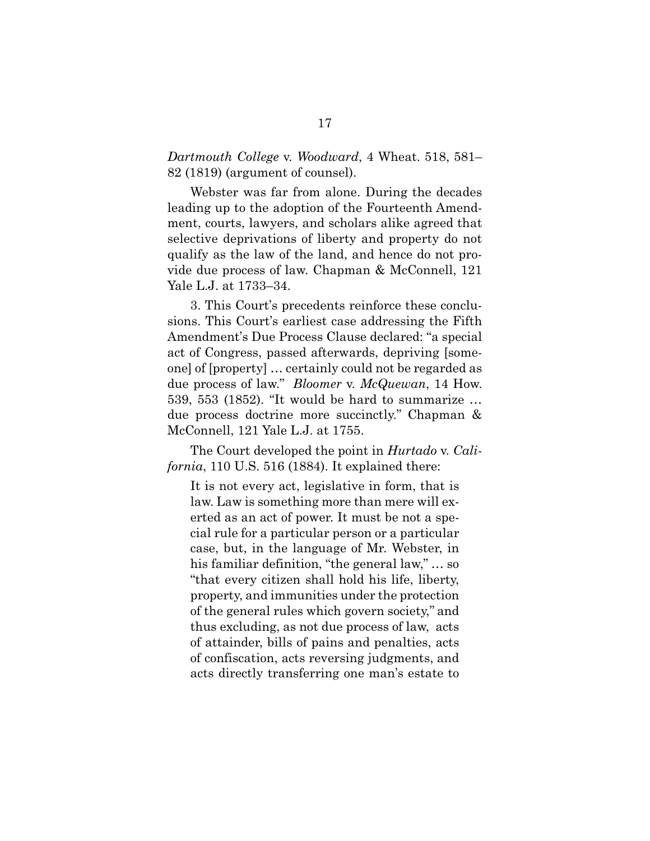<span id="page-24-1"></span>*Dartmouth College* v. *Woodward*, 4 Wheat. 518, 581– 82 (1819) (argument of counsel).

Webster was far from alone. During the decades leading up to the adoption of the Fourteenth Amendment, courts, lawyers, and scholars alike agreed that selective deprivations of liberty and property do not qualify as the law of the land, and hence do not provide due process of law. Chapman & McConnell, 121 Yale L.J. at 1733–34.

3. This Court's precedents reinforce these conclusions. This Court's earliest case addressing the Fifth Amendment's Due Process Clause declared: "a special act of Congress, passed afterwards, depriving [someone] of [property] … certainly could not be regarded as due process of law." *Bloomer* v. *McQuewan*, 14 How. 539, 553 (1852). "It would be hard to summarize … due process doctrine more succinctly." Chapman & McConnell, 121 Yale L.J. at 1755.

<span id="page-24-0"></span>The Court developed the point in *Hurtado* v. *California*, 110 U.S. 516 (1884). It explained there:

<span id="page-24-2"></span>It is not every act, legislative in form, that is law. Law is something more than mere will exerted as an act of power. It must be not a special rule for a particular person or a particular case, but, in the language of Mr. Webster, in his familiar definition, "the general law," … so "that every citizen shall hold his life, liberty, property, and immunities under the protection of the general rules which govern society," and thus excluding, as not due process of law, acts of attainder, bills of pains and penalties, acts of confiscation, acts reversing judgments, and acts directly transferring one man's estate to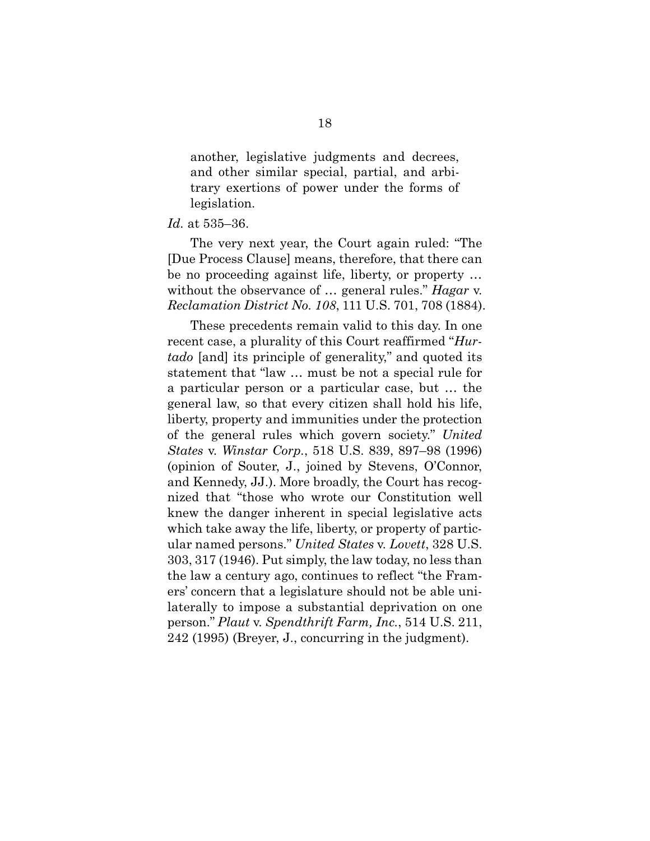another, legislative judgments and decrees, and other similar special, partial, and arbitrary exertions of power under the forms of legislation.

### *Id.* at 535–36.

The very next year, the Court again ruled: "The [Due Process Clause] means, therefore, that there can be no proceeding against life, liberty, or property … without the observance of … general rules." *Hagar* v. *Reclamation District No. 108*, 111 U.S. 701, 708 (1884).

<span id="page-25-4"></span><span id="page-25-3"></span><span id="page-25-2"></span><span id="page-25-1"></span><span id="page-25-0"></span>These precedents remain valid to this day. In one recent case, a plurality of this Court reaffirmed "*Hurtado* [and] its principle of generality," and quoted its statement that "law … must be not a special rule for a particular person or a particular case, but … the general law, so that every citizen shall hold his life, liberty, property and immunities under the protection of the general rules which govern society." *United States* v. *Winstar Corp.*, 518 U.S. 839, 897–98 (1996) (opinion of Souter, J., joined by Stevens, O'Connor, and Kennedy, JJ.). More broadly, the Court has recognized that "those who wrote our Constitution well knew the danger inherent in special legislative acts which take away the life, liberty, or property of particular named persons." *United States* v. *Lovett*, 328 U.S. 303, 317 (1946). Put simply, the law today, no less than the law a century ago, continues to reflect "the Framers' concern that a legislature should not be able unilaterally to impose a substantial deprivation on one person." *Plaut* v. *Spendthrift Farm, Inc.*, 514 U.S. 211, 242 (1995) (Breyer, J., concurring in the judgment).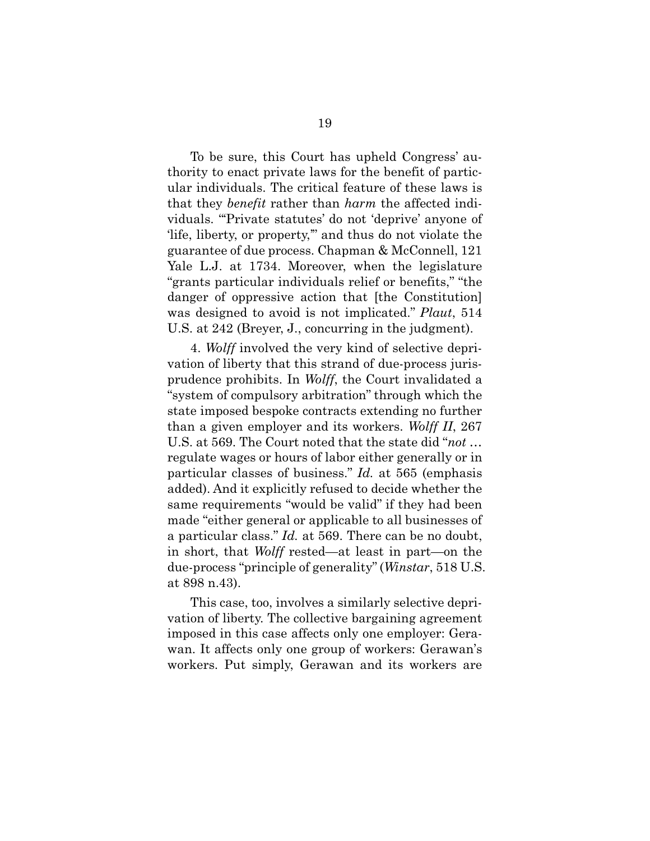To be sure, this Court has upheld Congress' authority to enact private laws for the benefit of particular individuals. The critical feature of these laws is that they *benefit* rather than *harm* the affected individuals. "'Private statutes' do not 'deprive' anyone of 'life, liberty, or property,'" and thus do not violate the guarantee of due process. Chapman & McConnell, 121 Yale L.J. at 1734. Moreover, when the legislature "grants particular individuals relief or benefits," "the danger of oppressive action that [the Constitution] was designed to avoid is not implicated." *Plaut*, 514 U.S. at 242 (Breyer, J., concurring in the judgment).

<span id="page-26-1"></span><span id="page-26-0"></span>4. *Wolff* involved the very kind of selective deprivation of liberty that this strand of due-process jurisprudence prohibits. In *Wolff*, the Court invalidated a "system of compulsory arbitration" through which the state imposed bespoke contracts extending no further than a given employer and its workers. *Wolff II*, 267 U.S. at 569. The Court noted that the state did "*not* … regulate wages or hours of labor either generally or in particular classes of business." *Id.* at 565 (emphasis added). And it explicitly refused to decide whether the same requirements "would be valid" if they had been made "either general or applicable to all businesses of a particular class." *Id.* at 569. There can be no doubt, in short, that *Wolff* rested—at least in part—on the due-process "principle of generality" (*Winstar*, 518 U.S. at 898 n.43).

<span id="page-26-2"></span>This case, too, involves a similarly selective deprivation of liberty. The collective bargaining agreement imposed in this case affects only one employer: Gerawan. It affects only one group of workers: Gerawan's workers. Put simply, Gerawan and its workers are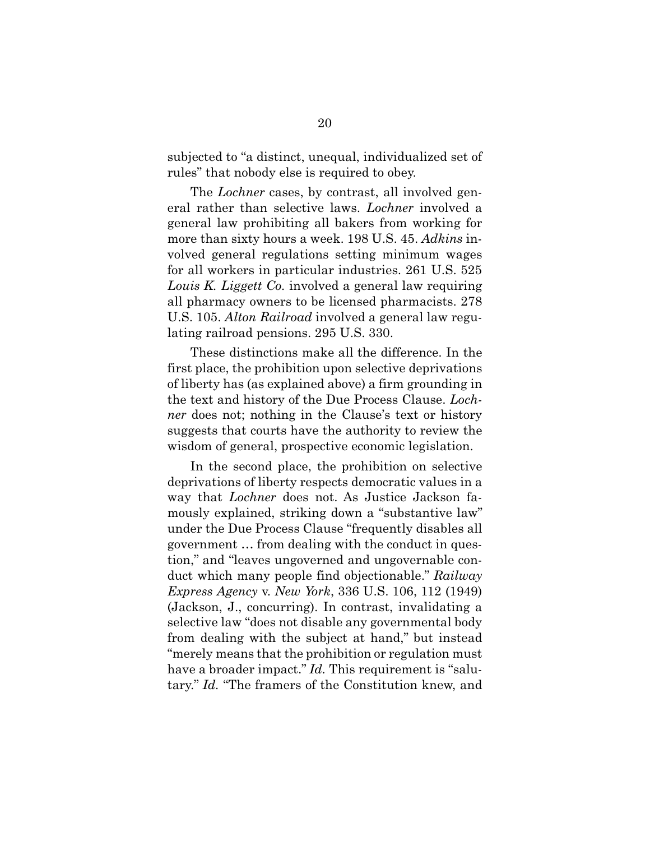subjected to "a distinct, unequal, individualized set of rules" that nobody else is required to obey.

<span id="page-27-0"></span>The *Lochner* cases, by contrast, all involved general rather than selective laws. *Lochner* involved a general law prohibiting all bakers from working for more than sixty hours a week. 198 U.S. 45. *Adkins* involved general regulations setting minimum wages for all workers in particular industries. 261 U.S. 525 *Louis K. Liggett Co.* involved a general law requiring all pharmacy owners to be licensed pharmacists. 278 U.S. 105. *Alton Railroad* involved a general law regulating railroad pensions. 295 U.S. 330.

<span id="page-27-2"></span><span id="page-27-1"></span>These distinctions make all the difference. In the first place, the prohibition upon selective deprivations of liberty has (as explained above) a firm grounding in the text and history of the Due Process Clause. *Lochner* does not; nothing in the Clause's text or history suggests that courts have the authority to review the wisdom of general, prospective economic legislation.

<span id="page-27-3"></span>In the second place, the prohibition on selective deprivations of liberty respects democratic values in a way that *Lochner* does not. As Justice Jackson famously explained, striking down a "substantive law" under the Due Process Clause "frequently disables all government … from dealing with the conduct in question," and "leaves ungoverned and ungovernable conduct which many people find objectionable." *Railway Express Agency* v. *New York*, 336 U.S. 106, 112 (1949) (Jackson, J., concurring). In contrast, invalidating a selective law "does not disable any governmental body from dealing with the subject at hand," but instead "merely means that the prohibition or regulation must have a broader impact." *Id.* This requirement is "salutary." *Id.* "The framers of the Constitution knew, and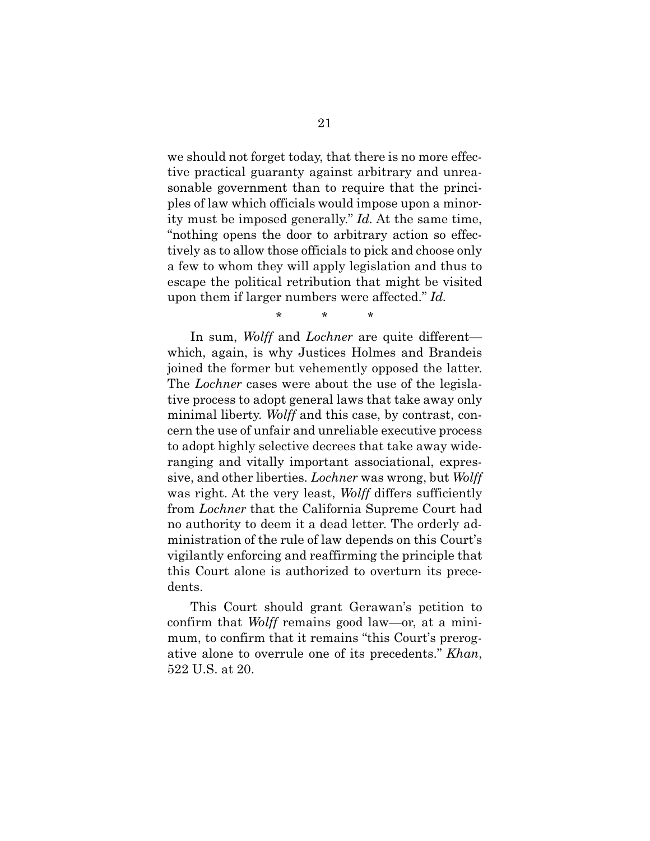we should not forget today, that there is no more effective practical guaranty against arbitrary and unreasonable government than to require that the principles of law which officials would impose upon a minority must be imposed generally." *Id.* At the same time, "nothing opens the door to arbitrary action so effectively as to allow those officials to pick and choose only a few to whom they will apply legislation and thus to escape the political retribution that might be visited upon them if larger numbers were affected." *Id.*

<span id="page-28-0"></span>\* \* \*

In sum, *Wolff* and *Lochner* are quite different which, again, is why Justices Holmes and Brandeis joined the former but vehemently opposed the latter. The *Lochner* cases were about the use of the legislative process to adopt general laws that take away only minimal liberty. *Wolff* and this case, by contrast, concern the use of unfair and unreliable executive process to adopt highly selective decrees that take away wideranging and vitally important associational, expressive, and other liberties. *Lochner* was wrong, but *Wolff* was right. At the very least, *Wolff* differs sufficiently from *Lochner* that the California Supreme Court had no authority to deem it a dead letter. The orderly administration of the rule of law depends on this Court's vigilantly enforcing and reaffirming the principle that this Court alone is authorized to overturn its precedents.

<span id="page-28-1"></span>This Court should grant Gerawan's petition to confirm that *Wolff* remains good law—or, at a minimum, to confirm that it remains "this Court's prerogative alone to overrule one of its precedents." *Khan*, 522 U.S. at 20.